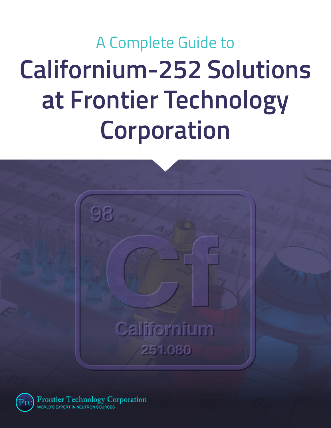# A Complete Guide to **Californium-252 Solutions at Frontier Technology Corporation**





Frontier Technology Corporation WORLD'S EXPERT IN NEUTRON SOURCES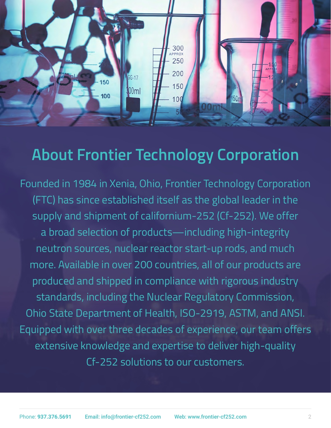

### **About Frontier Technology Corporation**

Founded in 1984 in Xenia, Ohio, Frontier Technology Corporation (FTC) has since established itself as the global leader in the supply and shipment of californium-252 (Cf-252). We offer a broad selection of products—including high-integrity neutron sources, nuclear reactor start-up rods, and much more. Available in over 200 countries, all of our products are produced and shipped in compliance with rigorous industry standards, including the Nuclear Regulatory Commission, Ohio State Department of Health, ISO-2919, ASTM, and ANSI. Equipped with over three decades of experience, our team offers extensive knowledge and expertise to deliver high-quality Cf-252 solutions to our customers.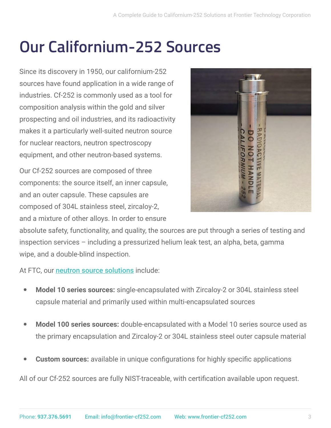### **Our Californium-252 Sources**

Since its discovery in 1950, our californium-252 sources have found application in a wide range of industries. Cf-252 is commonly used as a tool for composition analysis within the gold and silver prospecting and oil industries, and its radioactivity makes it a particularly well-suited neutron source for nuclear reactors, neutron spectroscopy equipment, and other neutron-based systems.

Our Cf-252 sources are composed of three components: the source itself, an inner capsule, and an outer capsule. These capsules are composed of 304L stainless steel, zircaloy-2, and a mixture of other alloys. In order to ensure



absolute safety, functionality, and quality, the sources are put through a series of testing and inspection services – including a pressurized helium leak test, an alpha, beta, gamma wipe, and a double-blind inspection.

At FTC, our [neutron source solutions](https://www.frontier-cf252.com/neutron-sources/) include:

- Model 10 series sources: single-encapsulated with Zircaloy-2 or 304L stainless steel capsule material and primarily used within multi-encapsulated sources
- Model 100 series sources: double-encapsulated with a Model 10 series source used as the primary encapsulation and Zircaloy-2 or 304L stainless steel outer capsule material
- **Custom sources:** available in unique configurations for highly specific applications

All of our Cf-252 sources are fully NIST-traceable, with certification available upon request.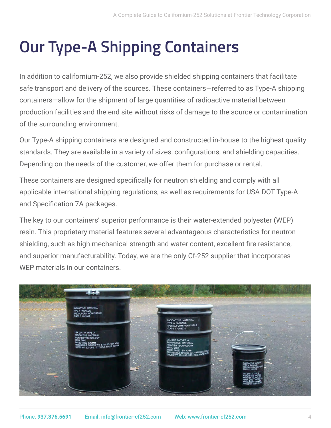### **Our Type-A Shipping Containers**

In addition to californium-252, we also provide shielded shipping containers that facilitate safe transport and delivery of the sources. These containers—referred to as Type-A shipping containers—allow for the shipment of large quantities of radioactive material between production facilities and the end site without risks of damage to the source or contamination of the surrounding environment.

Our Type-A shipping containers are designed and constructed in-house to the highest quality standards. They are available in a variety of sizes, configurations, and shielding capacities. Depending on the needs of the customer, we offer them for purchase or rental.

These containers are designed specifically for neutron shielding and comply with all applicable international shipping regulations, as well as requirements for USA DOT Type-A and Specification 7A packages.

The key to our containers' superior performance is their water-extended polyester (WEP) resin. This proprietary material features several advantageous characteristics for neutron shielding, such as high mechanical strength and water content, excellent fire resistance, and superior manufacturability. Today, we are the only Cf-252 supplier that incorporates WEP materials in our containers.

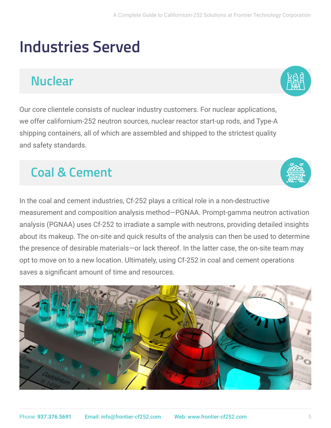### **Industries Served**

#### **Nuclear**

Our core clientele consists of nuclear industry customers. For nuclear applications, we offer californium-252 neutron sources, nuclear reactor start-up rods, and Type-A shipping containers, all of which are assembled and shipped to the strictest quality and safety standards.

#### **Coal & Cement**

In the coal and cement industries, Cf-252 plays a critical role in a non-destructive measurement and composition analysis method—PGNAA. Prompt-gamma neutron activation analysis (PGNAA) uses Cf-252 to irradiate a sample with neutrons, providing detailed insights about its makeup. The on-site and quick results of the analysis can then be used to determine the presence of desirable materials—or lack thereof. In the latter case, the on-site team may opt to move on to a new location. Ultimately, using Cf-252 in coal and cement operations saves a significant amount of time and resources.





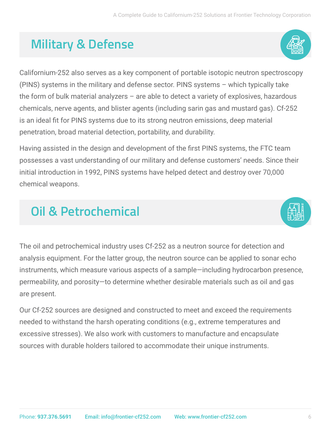#### **Military & Defense**



Californium-252 also serves as a key component of portable isotopic neutron spectroscopy (PINS) systems in the military and defense sector. PINS systems – which typically take the form of bulk material analyzers – are able to detect a variety of explosives, hazardous chemicals, nerve agents, and blister agents (including sarin gas and mustard gas). Cf-252 is an ideal fit for PINS systems due to its strong neutron emissions, deep material penetration, broad material detection, portability, and durability.

Having assisted in the design and development of the first PINS systems, the FTC team possesses a vast understanding of our military and defense customers' needs. Since their initial introduction in 1992, PINS systems have helped detect and destroy over 70,000 chemical weapons.

#### **Oil & Petrochemical**



The oil and petrochemical industry uses Cf-252 as a neutron source for detection and analysis equipment. For the latter group, the neutron source can be applied to sonar echo instruments, which measure various aspects of a sample—including hydrocarbon presence, permeability, and porosity—to determine whether desirable materials such as oil and gas are present.

Our Cf-252 sources are designed and constructed to meet and exceed the requirements needed to withstand the harsh operating conditions (e.g., extreme temperatures and excessive stresses). We also work with customers to manufacture and encapsulate sources with durable holders tailored to accommodate their unique instruments.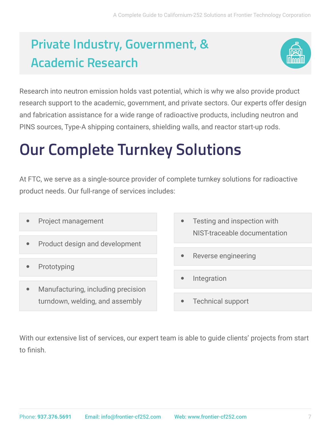### **Private Industry, Government, & Academic Research**



Research into neutron emission holds vast potential, which is why we also provide product research support to the academic, government, and private sectors. Our experts offer design and fabrication assistance for a wide range of radioactive products, including neutron and PINS sources, Type-A shipping containers, shielding walls, and reactor start-up rods.

### **Our Complete Turnkey Solutions**

At FTC, we serve as a single-source provider of complete turnkey solutions for radioactive product needs. Our full-range of services includes:

- Project management
- Product design and development
- Prototyping
- Manufacturing, including precision turndown, welding, and assembly
- Testing and inspection with NIST-traceable documentation
- Reverse engineering
- Integration
- **Technical support**

With our extensive list of services, our expert team is able to guide clients' projects from start to finish.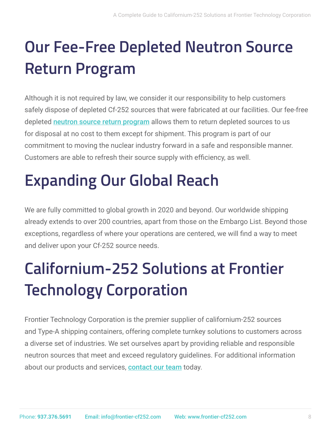# **Our Fee-Free Depleted Neutron Source Return Program**

Although it is not required by law, we consider it our responsibility to help customers safely dispose of depleted Cf-252 sources that were fabricated at our facilities. Our fee-free depleted [neutron source return program](https://www.frontier-cf252.com/return-source-program/) allows them to return depleted sources to us for disposal at no cost to them except for shipment. This program is part of our commitment to moving the nuclear industry forward in a safe and responsible manner. Customers are able to refresh their source supply with efficiency, as well.

### **Expanding Our Global Reach**

We are fully committed to global growth in 2020 and beyond. Our worldwide shipping already extends to over 200 countries, apart from those on the Embargo List. Beyond those exceptions, regardless of where your operations are centered, we will find a way to meet and deliver upon your Cf-252 source needs.

## **Californium-252 Solutions at Frontier Technology Corporation**

Frontier Technology Corporation is the premier supplier of californium-252 sources and Type-A shipping containers, offering complete turnkey solutions to customers across a diverse set of industries. We set ourselves apart by providing reliable and responsible neutron sources that meet and exceed regulatory guidelines. For additional information about our products and services, [contact our team](https://www.frontier-cf252.com/contact/) today.